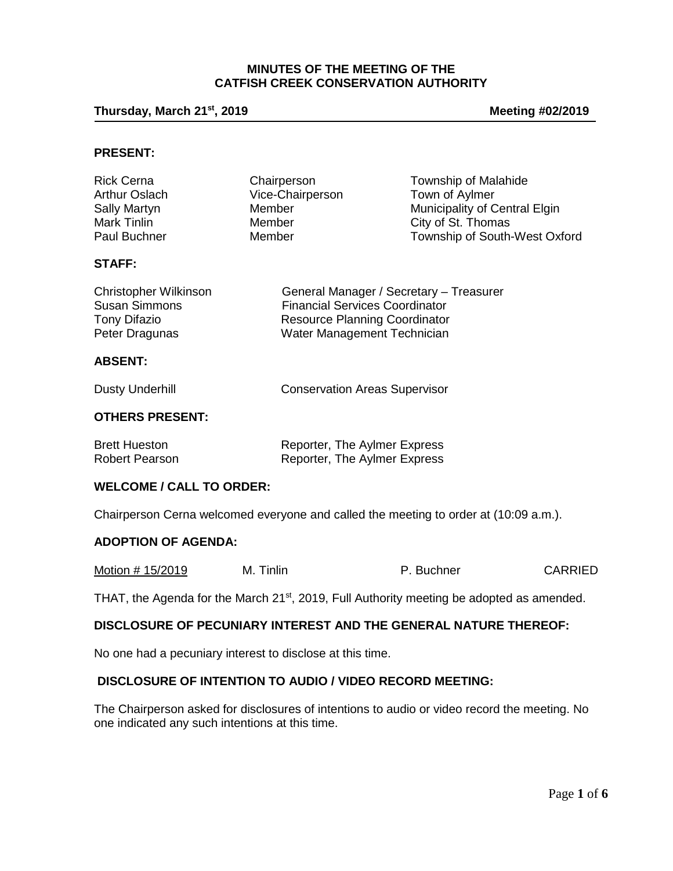### **MINUTES OF THE MEETING OF THE CATFISH CREEK CONSERVATION AUTHORITY**

**Thursday, March 21st, 2019 Meeting #02/2019**

### **PRESENT:**

| <b>Rick Cerna</b>    | Chairperson      | <b>Township of Malahide</b>   |
|----------------------|------------------|-------------------------------|
| <b>Arthur Oslach</b> | Vice-Chairperson | Town of Aylmer                |
| Sally Martyn         | Member           | Municipality of Central Elgin |
| Mark Tinlin          | Member           | City of St. Thomas            |
| Paul Buchner         | Member           | Township of South-West Oxford |

### **STAFF:**

| <b>Christopher Wilkinson</b> | General Manager / Secretary - Treasurer |
|------------------------------|-----------------------------------------|
| <b>Susan Simmons</b>         | <b>Financial Services Coordinator</b>   |
| Tony Difazio                 | <b>Resource Planning Coordinator</b>    |
| Peter Dragunas               | Water Management Technician             |

### **ABSENT:**

Dusty Underhill Conservation Areas Supervisor

# **OTHERS PRESENT:**

| <b>Brett Hueston</b> | Reporter, The Aylmer Express |
|----------------------|------------------------------|
| Robert Pearson       | Reporter, The Aylmer Express |

### **WELCOME / CALL TO ORDER:**

Chairperson Cerna welcomed everyone and called the meeting to order at (10:09 a.m.).

#### **ADOPTION OF AGENDA:**

| Motion # 15/2019<br>M. Tinlin | P. Buchner | <b>CARRIED</b> |
|-------------------------------|------------|----------------|
|-------------------------------|------------|----------------|

THAT, the Agenda for the March 21<sup>st</sup>, 2019, Full Authority meeting be adopted as amended.

# **DISCLOSURE OF PECUNIARY INTEREST AND THE GENERAL NATURE THEREOF:**

No one had a pecuniary interest to disclose at this time.

# **DISCLOSURE OF INTENTION TO AUDIO / VIDEO RECORD MEETING:**

The Chairperson asked for disclosures of intentions to audio or video record the meeting. No one indicated any such intentions at this time.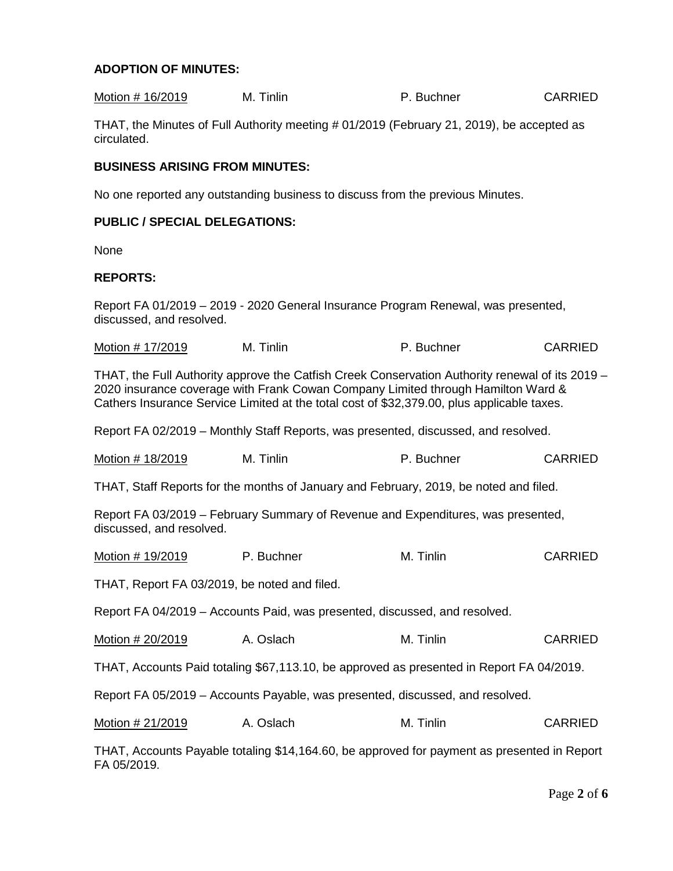# **ADOPTION OF MINUTES:**

| Motion # 16/2019                                                                                                                                                                                                                                                                  | M. Tinlin                                                                                 | P. Buchner | CARRIED        |
|-----------------------------------------------------------------------------------------------------------------------------------------------------------------------------------------------------------------------------------------------------------------------------------|-------------------------------------------------------------------------------------------|------------|----------------|
| circulated.                                                                                                                                                                                                                                                                       | THAT, the Minutes of Full Authority meeting # 01/2019 (February 21, 2019), be accepted as |            |                |
| <b>BUSINESS ARISING FROM MINUTES:</b>                                                                                                                                                                                                                                             |                                                                                           |            |                |
|                                                                                                                                                                                                                                                                                   | No one reported any outstanding business to discuss from the previous Minutes.            |            |                |
| <b>PUBLIC / SPECIAL DELEGATIONS:</b>                                                                                                                                                                                                                                              |                                                                                           |            |                |
| None                                                                                                                                                                                                                                                                              |                                                                                           |            |                |
| <b>REPORTS:</b>                                                                                                                                                                                                                                                                   |                                                                                           |            |                |
| Report FA 01/2019 - 2019 - 2020 General Insurance Program Renewal, was presented,<br>discussed, and resolved.                                                                                                                                                                     |                                                                                           |            |                |
| Motion # 17/2019                                                                                                                                                                                                                                                                  | M. Tinlin                                                                                 | P. Buchner | <b>CARRIED</b> |
| THAT, the Full Authority approve the Catfish Creek Conservation Authority renewal of its 2019 –<br>2020 insurance coverage with Frank Cowan Company Limited through Hamilton Ward &<br>Cathers Insurance Service Limited at the total cost of \$32,379.00, plus applicable taxes. |                                                                                           |            |                |

Report FA 02/2019 – Monthly Staff Reports, was presented, discussed, and resolved.

| Motion # 18/2019 | M. Tinlin | P. Buchner | <b>CARRIED</b> |
|------------------|-----------|------------|----------------|
|------------------|-----------|------------|----------------|

THAT, Staff Reports for the months of January and February, 2019, be noted and filed.

Report FA 03/2019 – February Summary of Revenue and Expenditures, was presented, discussed, and resolved.

| Motion # 19/2019 | P. Buchner | M. Tinlin | <b>CARRIED</b> |
|------------------|------------|-----------|----------------|
|------------------|------------|-----------|----------------|

THAT, Report FA 03/2019, be noted and filed.

Report FA 04/2019 – Accounts Paid, was presented, discussed, and resolved.

Motion # 20/2019 A. Oslach M. Tinlin CARRIED

THAT, Accounts Paid totaling \$67,113.10, be approved as presented in Report FA 04/2019.

Report FA 05/2019 – Accounts Payable, was presented, discussed, and resolved.

| Motion # 21/2019 | A. Oslach | M. Tinlin | <b>CARRIED</b> |
|------------------|-----------|-----------|----------------|
|------------------|-----------|-----------|----------------|

THAT, Accounts Payable totaling \$14,164.60, be approved for payment as presented in Report FA 05/2019.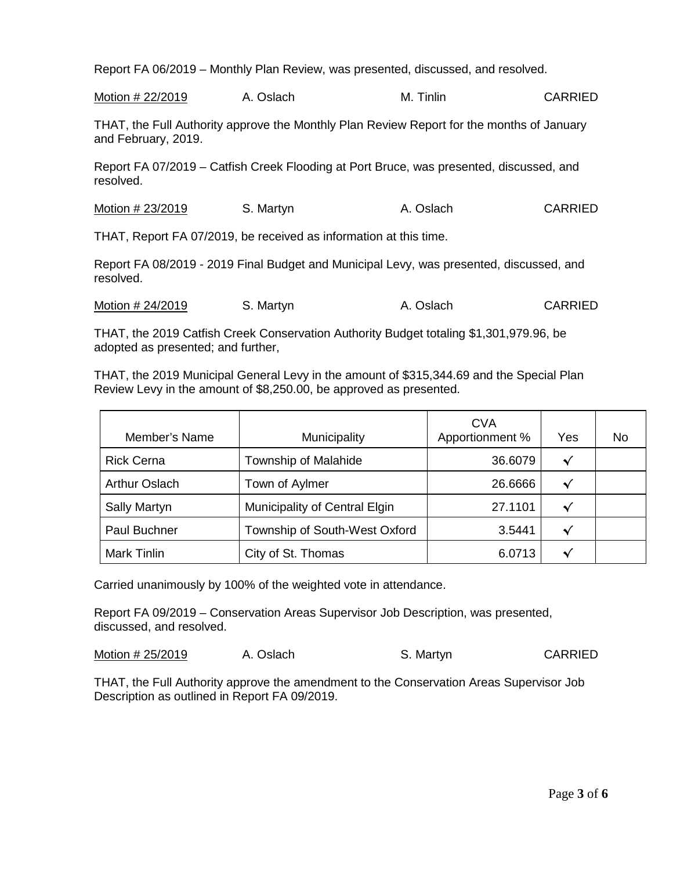Report FA 06/2019 – Monthly Plan Review, was presented, discussed, and resolved.

Motion # 22/2019 A. Oslach M. Tinlin CARRIED

THAT, the Full Authority approve the Monthly Plan Review Report for the months of January and February, 2019.

Report FA 07/2019 – Catfish Creek Flooding at Port Bruce, was presented, discussed, and resolved.

Motion # 23/2019 S. Martyn A. Oslach CARRIED

THAT, Report FA 07/2019, be received as information at this time.

Report FA 08/2019 - 2019 Final Budget and Municipal Levy, was presented, discussed, and resolved.

Motion # 24/2019 S. Martyn A. Oslach CARRIED

THAT, the 2019 Catfish Creek Conservation Authority Budget totaling \$1,301,979.96, be adopted as presented; and further,

THAT, the 2019 Municipal General Levy in the amount of \$315,344.69 and the Special Plan Review Levy in the amount of \$8,250.00, be approved as presented.

| Member's Name        | Municipality                  | <b>CVA</b><br>Apportionment % | Yes | No |
|----------------------|-------------------------------|-------------------------------|-----|----|
| <b>Rick Cerna</b>    | Township of Malahide          | 36.6079                       | √   |    |
| <b>Arthur Oslach</b> | Town of Aylmer                | 26.6666                       | √   |    |
| <b>Sally Martyn</b>  | Municipality of Central Elgin | 27.1101                       | √   |    |
| <b>Paul Buchner</b>  | Township of South-West Oxford | 3.5441                        | 丷   |    |
| <b>Mark Tinlin</b>   | City of St. Thomas            | 6.0713                        |     |    |

Carried unanimously by 100% of the weighted vote in attendance.

Report FA 09/2019 – Conservation Areas Supervisor Job Description, was presented, discussed, and resolved.

Motion # 25/2019 A. Oslach S. Martyn S. Martyn

THAT, the Full Authority approve the amendment to the Conservation Areas Supervisor Job Description as outlined in Report FA 09/2019.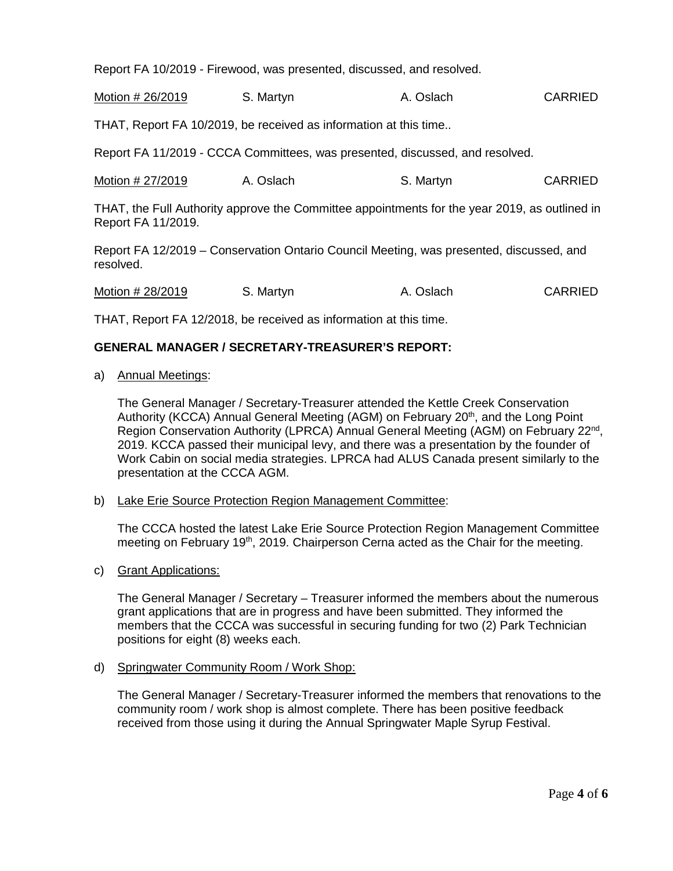Report FA 10/2019 - Firewood, was presented, discussed, and resolved.

Motion # 26/2019 S. Martyn B. A. Oslach CARRIED

THAT, Report FA 10/2019, be received as information at this time..

Report FA 11/2019 - CCCA Committees, was presented, discussed, and resolved.

Motion # 27/2019 A. Oslach S. Martyn S. Martyn

THAT, the Full Authority approve the Committee appointments for the year 2019, as outlined in Report FA 11/2019.

Report FA 12/2019 – Conservation Ontario Council Meeting, was presented, discussed, and resolved.

Motion # 28/2019 S. Martyn A. Oslach CARRIED

THAT, Report FA 12/2018, be received as information at this time.

### **GENERAL MANAGER / SECRETARY-TREASURER'S REPORT:**

a) Annual Meetings:

The General Manager / Secretary-Treasurer attended the Kettle Creek Conservation Authority (KCCA) Annual General Meeting (AGM) on February 20<sup>th</sup>, and the Long Point Region Conservation Authority (LPRCA) Annual General Meeting (AGM) on February 22nd, 2019. KCCA passed their municipal levy, and there was a presentation by the founder of Work Cabin on social media strategies. LPRCA had ALUS Canada present similarly to the presentation at the CCCA AGM.

b) Lake Erie Source Protection Region Management Committee:

The CCCA hosted the latest Lake Erie Source Protection Region Management Committee meeting on February 19<sup>th</sup>, 2019. Chairperson Cerna acted as the Chair for the meeting.

c) Grant Applications:

The General Manager / Secretary – Treasurer informed the members about the numerous grant applications that are in progress and have been submitted. They informed the members that the CCCA was successful in securing funding for two (2) Park Technician positions for eight (8) weeks each.

d) Springwater Community Room / Work Shop:

The General Manager / Secretary-Treasurer informed the members that renovations to the community room / work shop is almost complete. There has been positive feedback received from those using it during the Annual Springwater Maple Syrup Festival.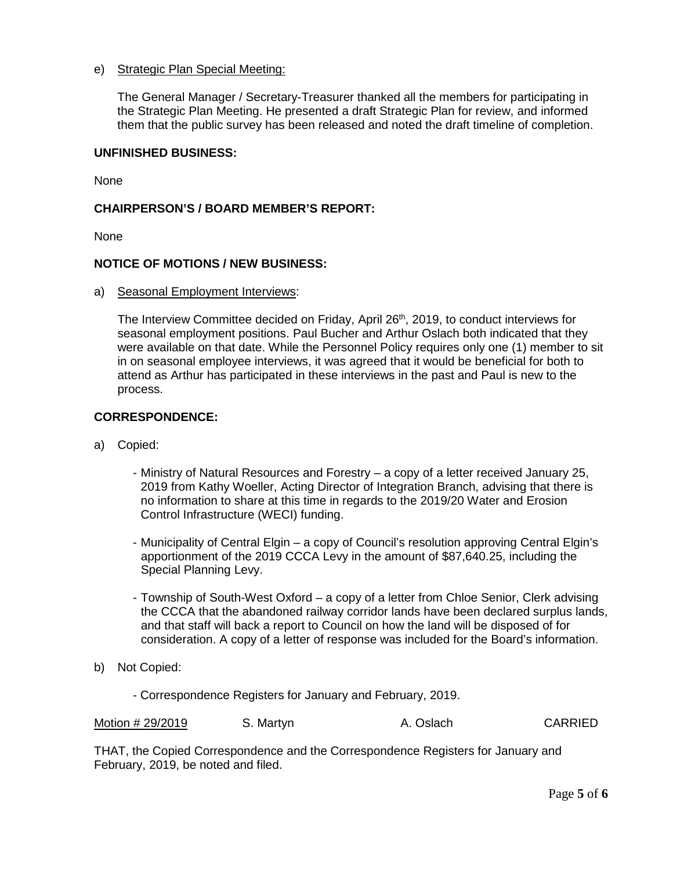# e) Strategic Plan Special Meeting:

The General Manager / Secretary-Treasurer thanked all the members for participating in the Strategic Plan Meeting. He presented a draft Strategic Plan for review, and informed them that the public survey has been released and noted the draft timeline of completion.

### **UNFINISHED BUSINESS:**

None

# **CHAIRPERSON'S / BOARD MEMBER'S REPORT:**

**None** 

### **NOTICE OF MOTIONS / NEW BUSINESS:**

a) Seasonal Employment Interviews:

The Interview Committee decided on Friday, April 26<sup>th</sup>, 2019, to conduct interviews for seasonal employment positions. Paul Bucher and Arthur Oslach both indicated that they were available on that date. While the Personnel Policy requires only one (1) member to sit in on seasonal employee interviews, it was agreed that it would be beneficial for both to attend as Arthur has participated in these interviews in the past and Paul is new to the process.

### **CORRESPONDENCE:**

- a) Copied:
	- Ministry of Natural Resources and Forestry a copy of a letter received January 25, 2019 from Kathy Woeller, Acting Director of Integration Branch, advising that there is no information to share at this time in regards to the 2019/20 Water and Erosion Control Infrastructure (WECI) funding.
	- Municipality of Central Elgin a copy of Council's resolution approving Central Elgin's apportionment of the 2019 CCCA Levy in the amount of \$87,640.25, including the Special Planning Levy.
	- Township of South-West Oxford a copy of a letter from Chloe Senior, Clerk advising the CCCA that the abandoned railway corridor lands have been declared surplus lands, and that staff will back a report to Council on how the land will be disposed of for consideration. A copy of a letter of response was included for the Board's information.
- b) Not Copied:
	- Correspondence Registers for January and February, 2019.

| Motion # 29/2019 | S. Martyn | A. Oslach | <b>CARRIED</b> |
|------------------|-----------|-----------|----------------|
|------------------|-----------|-----------|----------------|

THAT, the Copied Correspondence and the Correspondence Registers for January and February, 2019, be noted and filed.